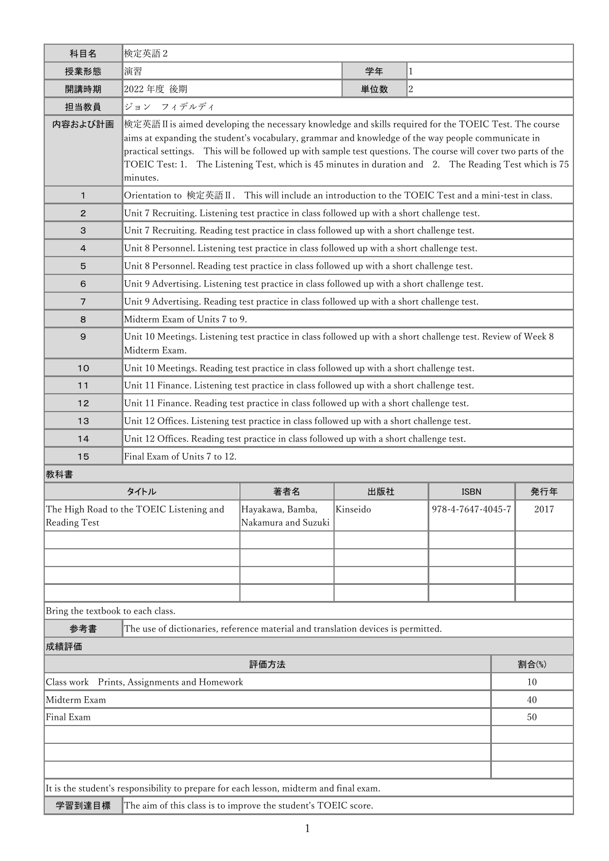| 科目名                                                         | 検定英語2                                                                                                                                                                                                                     |                     |          |                |                           |       |  |
|-------------------------------------------------------------|---------------------------------------------------------------------------------------------------------------------------------------------------------------------------------------------------------------------------|---------------------|----------|----------------|---------------------------|-------|--|
| 授業形態                                                        | 演習                                                                                                                                                                                                                        |                     | 学年       | $\mathbf{1}$   |                           |       |  |
| 開講時期                                                        | 2022 年度 後期                                                                                                                                                                                                                |                     | 単位数      | $\overline{c}$ |                           |       |  |
| 担当教員                                                        | ジョン フィデルディ                                                                                                                                                                                                                |                     |          |                |                           |       |  |
| 内容および計画                                                     | 檢定英語 II is aimed developing the necessary knowledge and skills required for the TOEIC Test. The course                                                                                                                    |                     |          |                |                           |       |  |
|                                                             | aims at expanding the student's vocabulary, grammar and knowledge of the way people communicate in                                                                                                                        |                     |          |                |                           |       |  |
|                                                             | practical settings. This will be followed up with sample test questions. The course will cover two parts of the<br>TOEIC Test: 1. The Listening Test, which is 45 minutes in duration and 2. The Reading Test which is 75 |                     |          |                |                           |       |  |
|                                                             | minutes.                                                                                                                                                                                                                  |                     |          |                |                           |       |  |
| $\mathbf{1}$                                                | This will include an introduction to the TOEIC Test and a mini-test in class.<br>Orientation to 検定英語 II.                                                                                                                  |                     |          |                |                           |       |  |
| 2                                                           | Unit 7 Recruiting. Listening test practice in class followed up with a short challenge test.                                                                                                                              |                     |          |                |                           |       |  |
| 3                                                           | Unit 7 Recruiting. Reading test practice in class followed up with a short challenge test.                                                                                                                                |                     |          |                |                           |       |  |
| 4                                                           | Unit 8 Personnel. Listening test practice in class followed up with a short challenge test.                                                                                                                               |                     |          |                |                           |       |  |
| 5                                                           | Unit 8 Personnel. Reading test practice in class followed up with a short challenge test.                                                                                                                                 |                     |          |                |                           |       |  |
| 6                                                           | Unit 9 Advertising. Listening test practice in class followed up with a short challenge test.                                                                                                                             |                     |          |                |                           |       |  |
| $\overline{7}$                                              | Unit 9 Advertising. Reading test practice in class followed up with a short challenge test.                                                                                                                               |                     |          |                |                           |       |  |
| 8                                                           | Midterm Exam of Units 7 to 9.                                                                                                                                                                                             |                     |          |                |                           |       |  |
| 9                                                           | Unit 10 Meetings. Listening test practice in class followed up with a short challenge test. Review of Week 8<br>Midterm Exam.                                                                                             |                     |          |                |                           |       |  |
| 10                                                          | Unit 10 Meetings. Reading test practice in class followed up with a short challenge test.                                                                                                                                 |                     |          |                |                           |       |  |
| 11                                                          | Unit 11 Finance. Listening test practice in class followed up with a short challenge test.                                                                                                                                |                     |          |                |                           |       |  |
| 12                                                          | Unit 11 Finance. Reading test practice in class followed up with a short challenge test.                                                                                                                                  |                     |          |                |                           |       |  |
| 13                                                          | Unit 12 Offices. Listening test practice in class followed up with a short challenge test.                                                                                                                                |                     |          |                |                           |       |  |
| 14                                                          | Unit 12 Offices. Reading test practice in class followed up with a short challenge test.                                                                                                                                  |                     |          |                |                           |       |  |
| 15                                                          | Final Exam of Units 7 to 12.                                                                                                                                                                                              |                     |          |                |                           |       |  |
| 教科書                                                         |                                                                                                                                                                                                                           |                     |          |                |                           |       |  |
|                                                             | タイトル                                                                                                                                                                                                                      | 著者名                 | 出版社      | <b>ISBN</b>    |                           | 発行年   |  |
| The High Road to the TOEIC Listening and                    |                                                                                                                                                                                                                           | Hayakawa, Bamba,    | Kinseido |                | 978-4-7647-4045-7<br>2017 |       |  |
| <b>Reading Test</b>                                         |                                                                                                                                                                                                                           | Nakamura and Suzuki |          |                |                           |       |  |
|                                                             |                                                                                                                                                                                                                           |                     |          |                |                           |       |  |
|                                                             |                                                                                                                                                                                                                           |                     |          |                |                           |       |  |
|                                                             |                                                                                                                                                                                                                           |                     |          |                |                           |       |  |
|                                                             |                                                                                                                                                                                                                           |                     |          |                |                           |       |  |
| Bring the textbook to each class.                           |                                                                                                                                                                                                                           |                     |          |                |                           |       |  |
| 参考書                                                         | The use of dictionaries, reference material and translation devices is permitted.                                                                                                                                         |                     |          |                |                           |       |  |
| 成績評価                                                        |                                                                                                                                                                                                                           |                     |          |                |                           |       |  |
| 評価方法                                                        |                                                                                                                                                                                                                           |                     |          |                |                           | 割合(%) |  |
| Class work Prints, Assignments and Homework<br>Midterm Exam |                                                                                                                                                                                                                           |                     |          |                | 10                        |       |  |
| Final Exam                                                  |                                                                                                                                                                                                                           |                     |          |                | 40<br>50                  |       |  |
|                                                             |                                                                                                                                                                                                                           |                     |          |                |                           |       |  |
|                                                             |                                                                                                                                                                                                                           |                     |          |                |                           |       |  |
|                                                             |                                                                                                                                                                                                                           |                     |          |                |                           |       |  |

It is the student's responsibility to prepare for each lesson, midterm and final exam.

学習到達目標 The aim of this class is to improve the student's TOEIC score.